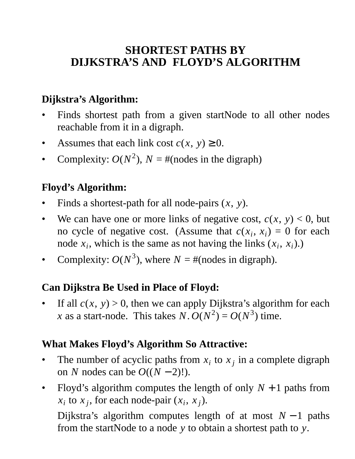# **SHORTEST PATHS BY DIJKSTRA'S AND FLOYD'S ALGORITHM**

# **Dijkstra's Algorithm:**

- Finds shortest path from a given startNode to all other nodes reachable from it in a digraph.
- Assumes that each link cost  $c(x, y) \geq 0$ .
- Complexity:  $O(N^2)$ ,  $N = \text{\#(nodes in the digraph)}$

### **Floyd's Algorithm:**

- Finds a shortest-path for all node-pairs (*x*, *y*).
- We can have one or more links of negative cost,  $c(x, y) < 0$ , but no cycle of negative cost. (Assume that  $c(x_i, x_i) = 0$  for each node  $x_i$ , which is the same as not having the links  $(x_i, x_i)$ .)
- Complexity:  $O(N^3)$ , where  $N = \text{\#(nodes in digraph)}.$

### **Can Dijkstra Be Used in Place of Floyd:**

If all  $c(x, y) > 0$ , then we can apply Dijkstra's algorithm for each *x* as a start-node. This takes *N*.  $O(N^2) = O(N^3)$  time.

#### **What Makes Floyd's Algorithm So Attractive:**

- The number of acyclic paths from  $x_i$  to  $x_j$  in a complete digraph on *N* nodes can be  $O((N-2)!)$ .
- Floyd's algorithm computes the length of only  $N + 1$  paths from  $x_i$  to  $x_j$ , for each node-pair  $(x_i, x_j)$ .

Dijkstra's algorithm computes length of at most *N* − 1 paths from the startNode to a node *y* to obtain a shortest path to *y*.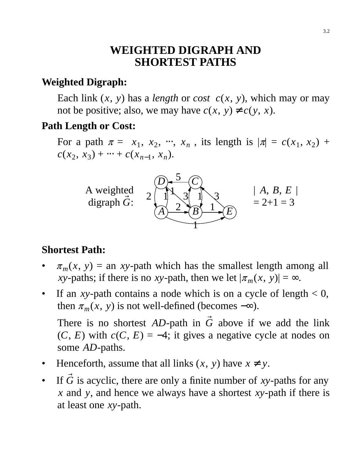### **WEIGHTED DIGRAPH AND SHORTEST PATHS**

#### **Weighted Digraph:**

Each link  $(x, y)$  has a *length* or *cost*  $c(x, y)$ , which may or may not be positive; also, we may have  $c(x, y) \neq c(y, x)$ .

#### **Path Length or Cost:**

For a path  $\pi = \langle x_1, x_2, \dots, x_n \rangle$ , its length is  $|\pi| = c(x_1, x_2)$  +  $c(x_2, x_3) + \cdots + c(x_{n-1}, x_n).$ 



#### **Shortest Path:**

- $\pi_m(x, y)$  = an *xy*-path which has the smallest length among all *xy*-paths; if there is no *xy*-path, then we let  $|\pi_m(x, y)| = \infty$ .
- If an *xy*-path contains a node which is on a cycle of length  $< 0$ , then  $\pi_m(x, y)$  is not well-defined (becomes  $-\infty$ ).

There is no shortest  $AD$ -path in  $\vec{G}$  above if we add the link  $(C, E)$  with  $c(C, E) = -4$ ; it gives a negative cycle at nodes on some *AD*-paths.

- Henceforth, assume that all links  $(x, y)$  have  $x \neq y$ .
- If  $\vec{G}$  is acyclic, there are only a finite number of *xy*-paths for any *x* and *y*, and hence we always have a shortest *xy*-path if there is at least one *xy*-path.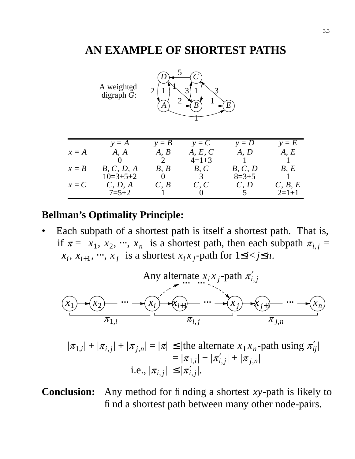#### **AN EXAMPLE OF SHORTEST PATHS**

|         | A weighted<br>digraph $\tilde{G}$ : | 2<br>$\boldsymbol{A}$  | 3<br>1<br>2<br>B          | F.                        |                           |
|---------|-------------------------------------|------------------------|---------------------------|---------------------------|---------------------------|
|         | $y = A$                             | $y = B$                | $y = C$                   | $y = D$                   | $y = E$                   |
| $x = A$ | $\langle A, A \rangle$              | $\langle A, B \rangle$ | $\langle A, E, C \rangle$ | $\langle A, D \rangle$    | $\langle A, E \rangle$    |
|         |                                     |                        | $4=1+3$                   |                           |                           |
| $x = B$ | $\langle B, C, D, A \rangle$        | $\langle B, B \rangle$ | $\langle B, C \rangle$    | $\langle B, C, D \rangle$ | $\langle B, E \rangle$    |
|         | $10=3+5+2$                          |                        |                           | $8=3+5$                   |                           |
| $x = C$ | $\langle C, D, A \rangle$           | $\langle C, B \rangle$ | $\langle C, C \rangle$    | $\langle C, D \rangle$    | $\langle C, B, E \rangle$ |
|         | $7 = 5 + 2$                         |                        |                           |                           | $2=1+1$                   |

#### **Bellman's Optimality Principle:**

• Each subpath of a shortest path is itself a shortest path. That is, if  $\pi = \langle x_1, x_2, \dots, x_n \rangle$  is a shortest path, then each subpath  $\pi_{i,j} =$  $\langle x_i, x_{i+1}, \dots, x_j \rangle$  is a shortest  $x_i x_j$ -path for  $1 \le i < j \le n$ .



 $|\pi_{1,i}| + |\pi_{i,j}| + |\pi_{j,n}| = |\pi| \leq |$ the alternate  $x_1 x_n$ -path using  $\pi'_{ij}$  $= |\pi_{1,i}| + |\pi'_{i,j}| + |\pi_{j,n}|$ i.e.,  $|\pi_{i,j}| \leq |\pi'_{i,j}|$ .

**Conclusion:** Any method for finding a shortest *xy*-path is likely to find a shortest path between many other node-pairs.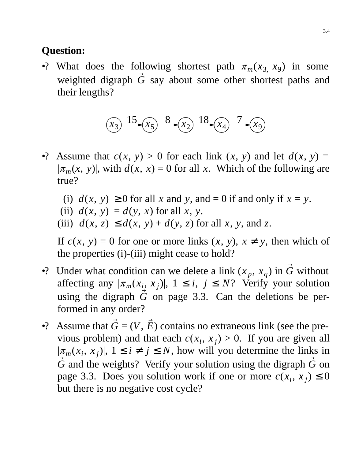### **Question:**

•? What does the following shortest path  $\pi_m(x_3, x_9)$  in some weighted digraph  $\vec{G}$  say about some other shortest paths and their lengths?



- •? Assume that  $c(x, y) > 0$  for each link  $(x, y)$  and let  $d(x, y) =$  $|\pi_m(x, y)|$ , with  $d(x, x) = 0$  for all *x*. Which of the following are true?
	- (i)  $d(x, y) \ge 0$  for all *x* and *y*, and = 0 if and only if  $x = y$ .
	- (ii)  $d(x, y) = d(y, x)$  for all *x*, *y*.
	- (iii)  $d(x, z) \leq d(x, y) + d(y, z)$  for all *x*, *y*, and *z*.

If  $c(x, y) = 0$  for one or more links  $(x, y)$ ,  $x \neq y$ , then which of the properties (i)-(iii) might cease to hold?

- •? Under what condition can we delete a link  $(x_p, x_q)$  in  $\vec{G}$  without affecting any  $|\pi_m(x_i, x_j)|$ ,  $1 \le i, j \le N$ ? Verify your solution using the digraph  $\vec{G}$  on page 3.3. Can the deletions be performed in any order?
- •? Assume that  $\vec{G} = (V, \vec{E})$  contains no extraneous link (see the previous problem) and that each  $c(x_i, x_j) > 0$ . If you are given all  $|\pi_m(x_i, x_j)|$ ,  $1 \le i \ne j \le N$ , how will you determine the links in  $\vec{G}$  and the weights? Verify your solution using the digraph  $\vec{G}$  on page 3.3. Does you solution work if one or more  $c(x_i, x_j) \le 0$ but there is no negative cost cycle?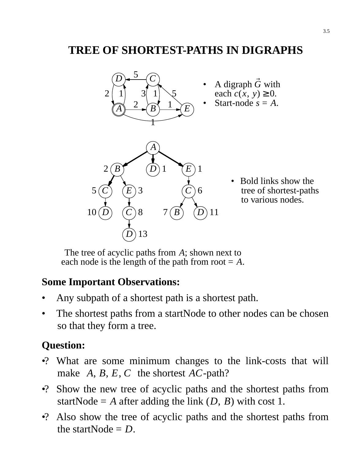# **TREE OF SHORTEST-PATHS IN DIGRAPHS**



• Bold links show the tree of shortest-paths to various nodes.

The tree of acyclic paths from *A*; shown next to each node is the length of the path from root  $= A$ .

#### **Some Important Observations:**

- Any subpath of a shortest path is a shortest path.
- The shortest paths from a startNode to other nodes can be chosen so that they form a tree.

## **Question:**

- •? What are some minimum changes to the link-costs that will make  $\langle A, B, E, C \rangle$  the shortest *AC*-path?
- •? Show the new tree of acyclic paths and the shortest paths from startNode =  $A$  after adding the link  $(D, B)$  with cost 1.
- •? Also show the tree of acyclic paths and the shortest paths from the startNode  $= D$ .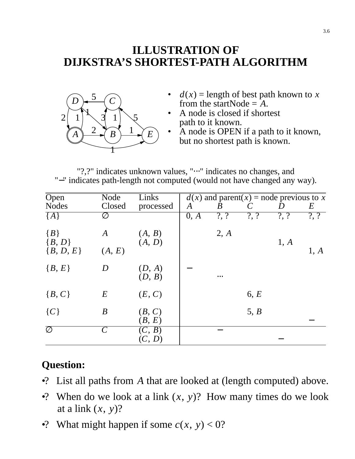## **ILLUSTRATION OF DIJKSTRA'S SHORTEST-PATH ALGORITHM**



- $d(x)$  = length of best path known to *x* from the startNode  $=$   $A$ .
- A node is closed if shortest path to it known.
- A node is OPEN if a path to it known, but no shortest path is known.

"?,?" indicates unknown values, "
<sup>...</sup>" indicates no changes, and "−" indicates path-length not computed (would not have changed any way).

| $\overline{Open}$        | Node                  | Links            |      |          |         | $d(x)$ and parent(x) = node previous to x |                 |
|--------------------------|-----------------------|------------------|------|----------|---------|-------------------------------------------|-----------------|
| <b>Nodes</b>             | Closed                | processed        | A    | B        |         |                                           | $E_{\parallel}$ |
| ${A}$                    | Ø                     |                  | 0, A | $?$ , ?  | $?$ , ? | $\overline{?}$                            | $\overline{?}$  |
| ${B}$<br>${B, D}$        | A                     | (A, B)<br>(A, D) |      | 2, A     |         | 1, A                                      |                 |
| ${B, D, E}$              | (A, E)                |                  |      |          |         |                                           | 1, A            |
| ${B, E}$                 | D                     | (D, A)<br>(D, B) |      | $\cdots$ |         |                                           |                 |
| ${B, C}$                 | $E\,$                 | (E, C)           |      |          | 6, E    |                                           |                 |
| $\{C\}$                  | $\boldsymbol{B}$      | (B, C)<br>(B, E) |      |          | 5, B    |                                           |                 |
| $\overline{\varnothing}$ | $\mathcal{C}_{0}^{0}$ | (C, B)<br>(C, D) |      |          |         |                                           |                 |

## **Question:**

- •? List all paths from *A* that are looked at (length computed) above.
- •? When do we look at a link  $(x, y)$ ? How many times do we look at a link (*x*, *y*)?
- •? What might happen if some  $c(x, y) < 0$ ?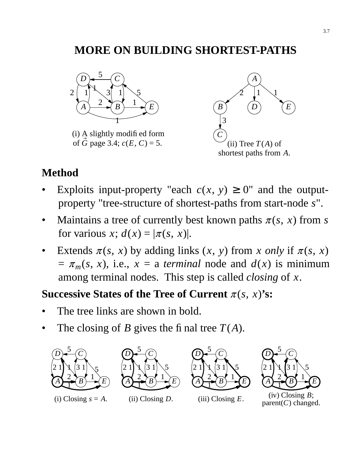# **MORE ON BUILDING SHORTEST-PATHS**



(i) A slightly modified form of  $\vec{G}$  page 3.4;  $c(E, C) = 5$ .



#### **Method**

- Exploits input-property "each  $c(x, y) \ge 0$ " and the outputproperty "tree-structure of shortest-paths from start-node *s*".
- Maintains a tree of currently best known paths  $\pi(s, x)$  from *s* for various *x*;  $d(x) = |\pi(s, x)|$ .
- Extends  $\pi(s, x)$  by adding links  $(x, y)$  from *x only* if  $\pi(s, x)$  $= \pi_m(s, x)$ , i.e.,  $x = a$  *terminal* node and  $d(x)$  is minimum among terminal nodes. This step is called *closing* of *x*.

### **Successive States of the Tree of Current**  $\pi(s, x)$ 's:

- The tree links are shown in bold.
- The closing of *B* gives the final tree  $T(A)$ .





 $(i)$  Closing  $s = A$ .





(iii) Closing *E*.



(iv) Closing *B*; parent(*C*) changed.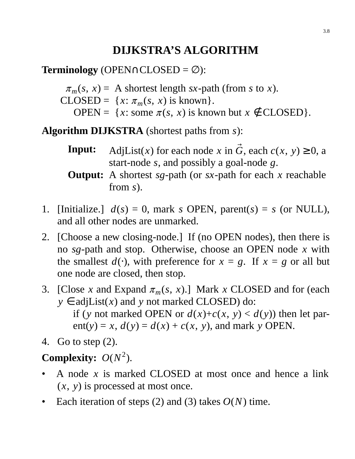# **DIJKSTRA'S ALGORITHM**

**Terminology** (OPEN∩CLOSED = ∅):

 $\pi_m(s, x) = A$  shortest length *sx*-path (from *s* to *x*).

- $CLOSED = {x: \pi_m(s, x) \text{ is known}}.$ 
	- OPEN =  $\{x: \text{some } \pi(s, x) \text{ is known but } x \notin \text{CLOSED}\}.$

**Algorithm DIJKSTRA** (shortest paths from *s*):

- **Input:** AdjList(*x*) for each node *x* in  $\vec{G}$ , each  $c(x, y) \ge 0$ , a start-node *s*, and possibly a goal-node *g*.
- **Output:** A shortest *sg*-path (or *sx*-path for each *x* reachable from *s*).
- 1. [Initialize.]  $d(s) = 0$ , mark *s* OPEN, parent(*s*) = *s* (or NULL), and all other nodes are unmarked.
- 2. [Choose a new closing-node.] If (no OPEN nodes), then there is no *sg*-path and stop. Otherwise, choose an OPEN node *x* with the smallest  $d(·)$ , with preference for  $x = g$ . If  $x = g$  or all but one node are closed, then stop.
- 3. [Close *x* and Expand  $\pi_m(s, x)$ .] Mark *x* CLOSED and for (each  $y \in adjList(x)$  and *y* not marked CLOSED) do:
	- if (*y* not marked OPEN or  $d(x)+c(x, y) < d(y)$ ) then let parent(*y*) = *x*,  $d(y) = d(x) + c(x, y)$ , and mark *y* OPEN.
- 4. Go to step (2).

# **Complexity:**  $O(N^2)$ .

- A node *x* is marked CLOSED at most once and hence a link (*x*, *y*) is processed at most once.
- Each iteration of steps  $(2)$  and  $(3)$  takes  $O(N)$  time.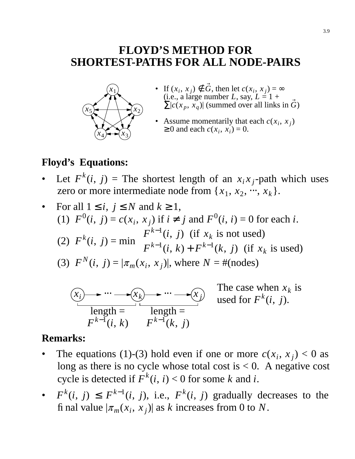## **FLOYD'S METHOD FOR SHORTEST-PATHS FOR ALL NODE-PAIRS**



- If  $(x_i, x_j) \notin \vec{G}$ , then let  $c(x_i, x_j) = \infty$  $(i.e., a large number L, say, L = 1 +$  $\sum |c(x_p, x_q)|$  (summed over all links in  $\vec{G}$ ) •
- Assume momentarily that each  $c(x_i, x_j)$  $\geq 0$  and each  $c(x_i, x_i) = 0$ . •

### **Floyd's Equations:**

- Let  $F^k(i, j)$  = The shortest length of an  $x_i x_j$ -path which uses zero or more intermediate node from  $\{x_1, x_2, \dots, x_k\}$ .
- For all  $1 \leq i, j \leq N$  and  $k \geq 1$ , (1)  $F^0(i, j) = c(x_i, x_j)$  if  $i \neq j$  and  $F^0(i, i) = 0$  for each *i*. (2)  $F^k(i, j) = \min$  $\overline{\phantom{a}}$  $\big\{$  $\lfloor$  $F^{k-1}(i, j)$  (if  $x_k$  is not used)  $F^{k-1}(i, k) + F^{k-1}(k, j)$  (if  $x_k$  is used) (3)  $F^N(i, j) = |\pi_m(x_i, x_j)|$ , where  $N = \text{\#(nodes)}$



### **Remarks:**

- The equations (1)-(3) hold even if one or more  $c(x_i, x_j) < 0$  as long as there is no cycle whose total cost is  $< 0$ . A negative cost cycle is detected if  $F^k(i, i) < 0$  for some *k* and *i*.
- $F^k(i, j) \leq F^{k-1}(i, j)$ , i.e.,  $F^k(i, j)$  gradually decreases to the final value  $|\pi_m(x_i, x_j)|$  as *k* increases from 0 to *N*.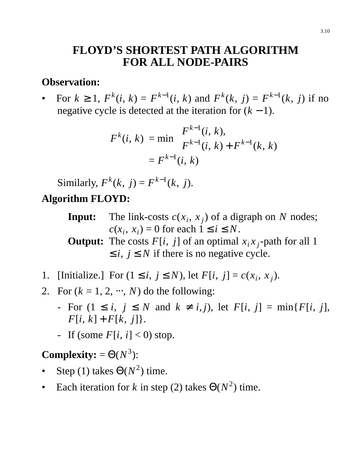## **FLOYD'S SHORTEST PATH ALGORITHM FOR ALL NODE-PAIRS**

#### **Observation:**

• For  $k \ge 1$ ,  $F^k(i, k) = F^{k-1}(i, k)$  and  $F^k(k, j) = F^{k-1}(k, j)$  if no negative cycle is detected at the iteration for  $(k - 1)$ .

$$
F^{k}(i, k) = \min \begin{cases} F^{k-1}(i, k), \\ F^{k-1}(i, k) + F^{k-1}(k, k) \end{cases}
$$

$$
= F^{k-1}(i, k)
$$

Similarly,  $F^{k}(k, j) = F^{k-1}(k, j)$ . **Algorithm FLOYD:**

> **Input:** The link-costs  $c(x_i, x_j)$  of a digraph on *N* nodes;  $c(x_i, x_i) = 0$  for each  $1 \le i \le N$ .

> **Output:** The costs  $F[i, j]$  of an optimal  $x_i x_j$ -path for all 1  $\leq i, j \leq N$  if there is no negative cycle.

- 1. [Initialize.] For  $(1 \le i, j \le N)$ , let  $F[i, j] = c(x_i, x_j)$ .
- 2. For  $(k = 1, 2, ..., N)$  do the following:
	- For (1 ≤ *i*, *j* ≤ *N* and *k* ≠ *i*, *j*), let *F*[*i*, *j*]=min{*F*[*i*, *j*],  $F[i, k] + F[k, j]$ .
	- If (some  $F[i, i] < 0$ ) stop.

## **Complexity:** =  $\Theta(N^3)$ :

- Step (1) takes  $\Theta(N^2)$  time.
- Each iteration for *k* in step (2) takes  $\Theta(N^2)$  time.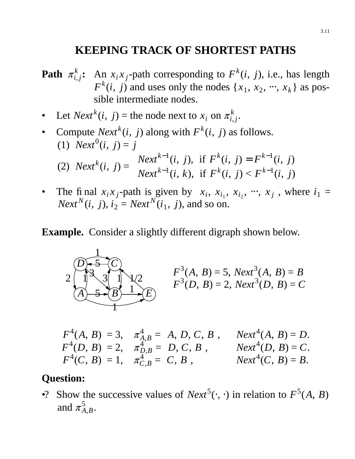## **KEEPING TRACK OF SHORTEST PATHS**

- **Path**  $\pi_i^k$  $\sum_{i,j}^{k}$  **:** An *x*<sub>*i*</sub> *x*<sub>*j*</sub>-path corresponding to *F*<sup>*k*</sup>(*i*, *j*), i.e., has length  $F^k(i, j)$  and uses only the nodes  $\{x_1, x_2, \dots, x_k\}$  as possible intermediate nodes.
- Let *Next*<sup>*k*</sup>(*i*, *j*) = the node next to  $x_i$  on  $\pi_i^k$ *i*, *j* .
- Compute *Next*<sup>*k*</sup>(*i*, *j*) along with  $F^k(i, j)$  as follows. (1) *Next*<sup>0</sup>(*i*, *j*) = *j* (2) *Next*<sup>*k*</sup>(*i*, *j*) =  $\vert$  $\big\{$  $\lfloor$ *Next*<sup>k-1</sup>(*i*, *j*), if  $F^k(i, j) = F^{k-1}(i, j)$ *Next*<sup>k-1</sup>(*i*, *k*), if  $F^k(i, j) < F^{k-1}(i, j)$
- The final  $x_i x_j$ -path is given by  $\langle x_i, x_{i_1}, x_{i_2}, \dots, x_j \rangle$ , where  $i_1 =$ *Next*<sup>*N*</sup>(*i*, *j*), *i*<sub>2</sub> = *Next*<sup>*N*</sup>(*i*<sub>1</sub>, *j*), and so on.

**Example.** Consider a slightly different digraph shown below.



$$
F^4(A, B) = 3
$$
,  $\pi_{A,B}^4 = \langle A, D, C, B \rangle$ , Next<sup>4</sup> $(A, B) = D$ .  
\n $F^4(D, B) = 2$ ,  $\pi_{D,B}^4 = \langle D, C, B \rangle$ , Next<sup>4</sup> $(D, B) = C$ .  
\n $F^4(C, B) = 1$ ,  $\pi_{C,B}^4 = \langle C, B \rangle$ , Next<sup>4</sup> $(C, B) = B$ .

#### **Question:**

•? Show the successive values of *Next*<sup>5</sup>( $\cdot$ ,  $\cdot$ ) in relation to  $F^5(A, B)$ and  $\pi_A^5$ *A*,*B* .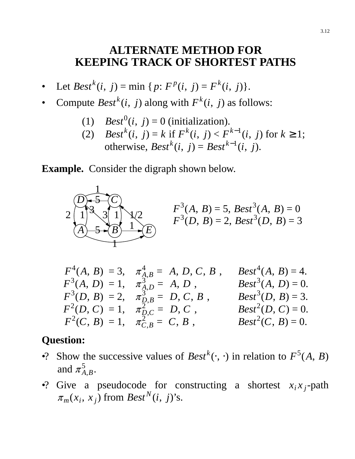### **ALTERNATE METHOD FOR KEEPING TRACK OF SHORTEST PATHS**

- Let *Best*<sup>*k*</sup>(*i*, *j*) = min { *p*:  $F^p(i, j) = F^k(i, j)$  }.
- Compute *Best*<sup>*k*</sup>(*i*, *j*) along with  $F^k(i, j)$  as follows:
	- (1)  $Best^0(i, j) = 0$  (initialization).
	- (2) *Best*<sup>*k*</sup>(*i*, *j*) = *k* if  $F^k(i, j) < F^{k-1}(i, j)$  for  $k \ge 1$ ; otherwise,  $Best^{k}(i, j) = Best^{k-1}(i, j)$ .

**Example.** Consider the digraph shown below.



| $F^4(A, B) = 3, \quad \pi_{A,B}^4 = \langle A, D, C, B \rangle,$ | $Best^4(A, B) = 4.$ |
|------------------------------------------------------------------|---------------------|
| $F^3(A, D) = 1, \quad \pi_{A, D}^3 = \langle A, D \rangle,$      | $Best^3(A, D) = 0.$ |
| $F^3(D, B) = 2, \quad \pi_{D, B}^3 = \langle D, C, B \rangle,$   | $Best^3(D, B) = 3.$ |
| $F^2(D, C) = 1, \quad \pi_{D,C}^2 = \langle D, C \rangle,$       | $Best^2(D, C) = 0.$ |
| $F^2(C, B) = 1, \quad \pi_{C, B}^2 = \langle C, B \rangle,$      | $Best^2(C, B) = 0.$ |

### **Question:**

- •? Show the successive values of  $\text{Best}^k(\cdot, \cdot)$  in relation to  $F^5(A, B)$ and  $\pi_A^5$ *A*,*B* .
- •? Give a pseudocode for constructing a shortest  $x_i x_j$ -path  $\pi_m(x_i, x_j)$  from *Best*<sup>N</sup>(*i*, *j*)'s.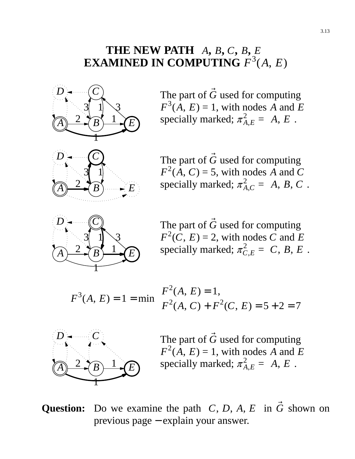# **THE NEW PATH**  $\langle A, B, C, B, E \rangle$ **EXAMINED IN COMPUTING** *F* 3 (*A*, *E*)



3 1

*E*

The part of  $\vec{G}$  used for computing  $F^3(A, E) = 1$ , with nodes *A* and *E* specially marked;  $\pi_{A,E}^2 = \langle A, E \rangle$ .

The part of  $\vec{G}$  used for computing  $F^2(A, C) = 5$ , with nodes *A* and *C* specially marked;  $\pi_{A,C}^2 = \langle A, B, C \rangle$ .



 $\overline{A}$   $\rightarrow$   $\overline{\rightarrow}$   $\overline{B}$ 2

> The part of  $\vec{G}$  used for computing  $F^2(C, E) = 2$ , with nodes *C* and *E* specially marked;  $\pi_{C,E}^2 = \langle C, B, E \rangle$ .

$$
F^{3}(A, E) = 1 = \min \begin{cases} F^{2}(A, E) = 1, \\ F^{2}(A, C) + F^{2}(C, E) = 5 + 2 = 7 \end{cases}
$$



The part of  $\vec{G}$  used for computing  $F^2(A, E) = 1$ , with nodes *A* and *E* specially marked;  $\pi_{A,E}^2 = \langle A, E \rangle$ .

# **Question:** Do we examine the path  $\langle C, D, A, E \rangle$  in  $\vec{G}$  shown on previous page − explain your answer.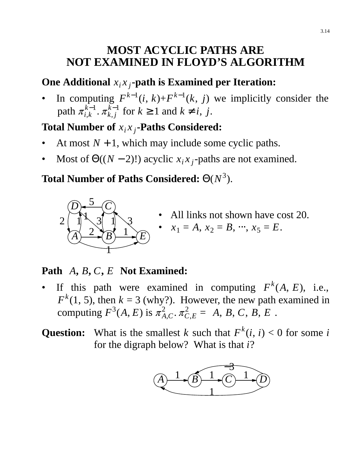# **MOST ACYCLIC PATHS ARE NOT EXAMINED IN FLOYD'S ALGORITHM**

# **One Additional**  $x_i x_j$ -path is Examined per Iteration:

• In computing  $F^{k-1}(i, k) + F^{k-1}(k, j)$  we implicitly consider the path  $\pi^{k-1}_{i,k}$  $\frac{k-1}{i,k}$ .  $\pi_{k,j}^{k-1}$  $k$ <sup>*k*-1</sup></sup>/<sub>*k*</sub>,*j* for *k* ≥ 1 and *k* ≠ *i*, *j*.

## **Total Number of** *x<sup>i</sup> x <sup>j</sup>* **-Paths Considered:**

- At most  $N + 1$ , which may include some cyclic paths.
- Most of  $\Theta((N-2)!)$  acyclic  $x_i x_j$ -paths are not examined.

## **Total Number of Paths Considered:** Θ(*N* 3 ).



All links not shown have cost 20.

• 
$$
x_1 = A, x_2 = B, \dots, x_5 = E.
$$

## **Path**  $\langle A, B, C, E \rangle$  **Not Examined:**

- If this path were examined in computing  $F^k(A, E)$ , i.e.,  $F<sup>k</sup>(1, 5)$ , then  $k = 3$  (why?). However, the new path examined in computing  $F^3(A, E)$  is  $\pi^2_{A,C}$ .  $\pi^2_{C,E} = \langle A, B, C, B, E \rangle$ .
- **Question:** What is the smallest *k* such that  $F^k(i, i) < 0$  for some *i* for the digraph below? What is that *i*?

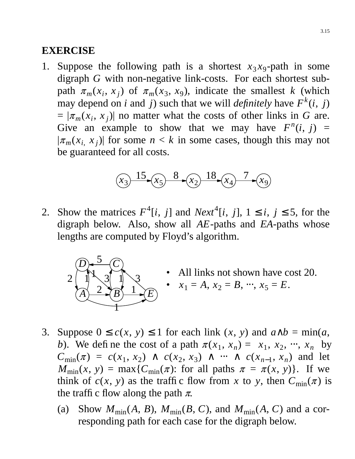#### **EXERCISE**

1. Suppose the following path is a shortest  $x_3x_9$ -path in some digraph *G* with non-negative link-costs. For each shortest subpath  $\pi_m(x_i, x_j)$  of  $\pi_m(x_3, x_9)$ , indicate the smallest *k* (which may depend on *i* and *j*) such that we will *definitely* have  $F^k(i, j)$  $= |\pi_m(x_i, x_j)|$  no matter what the costs of other links in *G* are. Give an example to show that we may have  $F^n(i, j)$  =  $|\pi_m(x_i, x_j)|$  for some  $n < k$  in some cases, though this may not be guaranteed for all costs.



2. Show the matrices  $F^4[i, j]$  and  $Next^4[i, j]$ ,  $1 \le i, j \le 5$ , for the digraph below. Also, show all *AE*-paths and *EA*-paths whose lengths are computed by Floyd's algorithm.



- All links not shown have cost 20.  $x_1 = A, x_2 = B, \dots, x_5 = E.$
- 3. Suppose  $0 \le c(x, y) \le 1$  for each link  $(x, y)$  and  $a \wedge b = \min(a,$ *b*). We define the cost of a path  $\pi(x_1, x_n) = \langle x_1, x_2, \dots, x_n \rangle$  by  $C_{\min}(\pi) = c(x_1, x_2) \land c(x_2, x_3) \land \cdots \land c(x_{n-1}, x_n)$  and let  $M_{\text{min}}(x, y) = \max\{C_{\text{min}}(\pi): \text{ for all paths } \pi = \pi(x, y)\}.$  If we think of  $c(x, y)$  as the traffic flow from x to y, then  $C_{\min}(\pi)$  is the traffic flow along the path  $\pi$ .
	- (a) Show  $M_{\text{min}}(A, B)$ ,  $M_{\text{min}}(B, C)$ , and  $M_{\text{min}}(A, C)$  and a corresponding path for each case for the digraph below.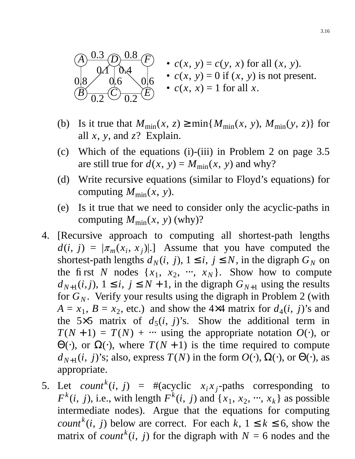

- $c(x, y) = c(y, x)$  for all  $(x, y)$ . •  $c(x, y) = 0$  if  $(x, y)$  is not present. •  $c(x, x) = 1$  for all *x*.
- (b) Is it true that  $M_{\text{min}}(x, z) \ge \min\{M_{\text{min}}(x, y), M_{\text{min}}(y, z)\}\)$  for all  $x$ ,  $y$ , and  $z$ ? Explain.
- (c) Which of the equations (i)-(iii) in Problem 2 on page 3.5 are still true for  $d(x, y) = M_{min}(x, y)$  and why?
- (d) Write recursive equations (similar to Floyd's equations) for computing  $M_{\text{min}}(x, y)$ .
- (e) Is it true that we need to consider only the acyclic-paths in computing  $M_{\text{min}}(x, y)$  (why)?
- 4. [Recursive approach to computing all shortest-path lengths  $d(i, j) = |\pi_m(x_i, x_j)|$ .] Assume that you have computed the shortest-path lengths  $d_N(i, j)$ ,  $1 \le i, j \le N$ , in the digraph  $G_N$  on the first *N* nodes  $\{x_1, x_2, \dots, x_N\}$ . Show how to compute  $d_{N+1}(i, j)$ ,  $1 \le i, j \le N+1$ , in the digraph  $G_{N+1}$  using the results for  $G_N$ . Verify your results using the digraph in Problem 2 (with  $A = x_1, B = x_2$ , etc.) and show the 4×4 matrix for  $d_4(i, j)$ 's and the  $5 \times 5$  matrix of  $d_5(i, j)$ 's. Show the additional term in  $T(N + 1) = T(N) + \cdots$  using the appropriate notation  $O(\cdot)$ , or Θ(·), or  $\Omega$ (·), where  $T(N + 1)$  is the time required to compute  $d_{N+1}(i, j)$ 's; also, express  $T(N)$  in the form  $O(·)$ ,  $\Omega(·)$ , or  $\Theta(·)$ , as appropriate.
- 5. Let *count*<sup>k</sup>(*i*, *j*) = #(acyclic *x<sub>i</sub>x<sub>j</sub>*-paths corresponding to  $F^k(i, j)$ , i.e., with length  $F^k(i, j)$  and  $\{x_1, x_2, \dots, x_k\}$  as possible intermediate nodes). Argue that the equations for computing *count*<sup>*k*</sup>(*i*, *j*) below are correct. For each *k*,  $1 \le k \le 6$ , show the matrix of *count*<sup>k</sup>(*i*, *j*) for the digraph with  $N = 6$  nodes and the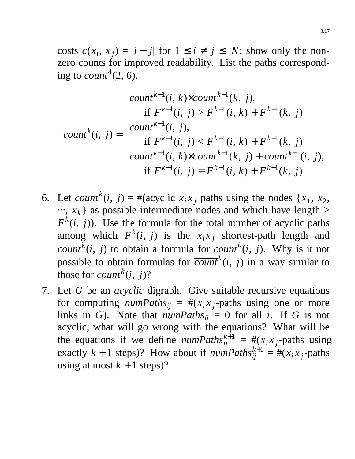costs  $c(x_i, x_j) = |i - j|$  for  $1 \le i \ne j \le N$ ; show only the nonzero counts for improved readability. List the paths corresponding to *count*<sup>4</sup> $(2, 6)$ .

*count <sup>k</sup>* (*i*, *j*) = *count <sup>k</sup>*−<sup>1</sup> (*i*, *k*)×*count <sup>k</sup>*−<sup>1</sup> (*k*, *j*), if *F k*−1 (*i*, *j*) > *F k*−1 (*i*, *k*) + *F k*−1 (*k*, *j*) *count <sup>k</sup>*−<sup>1</sup> (*i*, *j*), if *F k*−1 (*i*, *j*) < *F k*−1 (*i*, *k*) + *F k*−1 (*k*, *j*) *count <sup>k</sup>*−<sup>1</sup> (*i*, *k*)×*count <sup>k</sup>*−<sup>1</sup> (*k*, *j*) + *count <sup>k</sup>*−<sup>1</sup> (*i*, *j*), if *F k*−1 (*i*, *j*) = *F k*−1 (*i*, *k*) + *F k*−1 (*k*, *j*)

- 6. Let  $\overline{count}^k(i, j) = \text{#(acyclic } x_i x_j \text{ paths using the nodes } \{x_1, x_2, \}$  $\cdots$ ,  $x_k$ } as possible intermediate nodes and which have length >  $F^k(i, j)$ ). Use the formula for the total number of acyclic paths among which  $F^k(i, j)$  is the  $x_i x_j$  shortest-path length and *count*<sup>k</sup>(*i*, *j*) to obtain a formula for  $\overline{count}^k(i, j)$ . Why is it not possible to obtain formulas for  $\overline{count}^k(i, j)$  in a way similar to those for *count*<sup> $k$ </sup> $(i, j)$ ?
- 7. Let *G* be an *acyclic* digraph. Give suitable recursive equations for computing  $numPaths_{ij} = #(x_ix_j$ -paths using one or more links in *G*). Note that  $numPaths_{ii} = 0$  for all *i*. If *G* is not acyclic, what will go wrong with the equations? What will be the equations if we define  $numPaths_{ij}^{k+1} = #( x_i x_j$ -paths using exactly  $k + 1$  steps)? How about if  $numPaths_{ij}^{k+1} = #( x_i x_j$ -paths using at most  $k + 1$  steps)?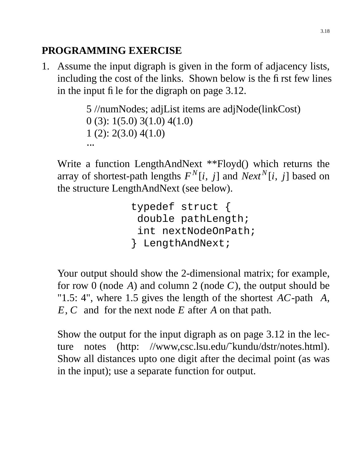# **PROGRAMMING EXERCISE**

1. Assume the input digraph is given in the form of adjacency lists, including the cost of the links. Shown below is the first few lines in the input file for the digraph on page 3.12.

```
5 //numNodes; adjList items are adjNode(linkCost)
0 (3): 1(5.0) 3(1.0) 4(1.0)
1 (2): 2(3.0) 4(1.0)
\cdot \cdot \cdot
```
Write a function LengthAndNext \*\*Floyd() which returns the array of shortest-path lengths  $F^N[i, j]$  and  $Next^N[i, j]$  based on the structure LengthAndNext (see below).

```
typedef struct {
 double pathLength;
 int nextNodeOnPath;
} LengthAndNext;
```
Your output should show the 2-dimensional matrix; for example, for row 0 (node  $A$ ) and column 2 (node  $C$ ), the output should be "1.5: 4", where 1.5 gives the length of the shortest  $AC$ -path  $\langle A, A \rangle$ *E*, *C*〉 and for the next node *E* after *A* on that path.

Show the output for the input digraph as on page 3.12 in the lecture notes (http: //www.csc.lsu.edu/<sup> $\lambda$ </sup>kundu/dstr/notes.html). Show all distances upto one digit after the decimal point (as was in the input); use a separate function for output.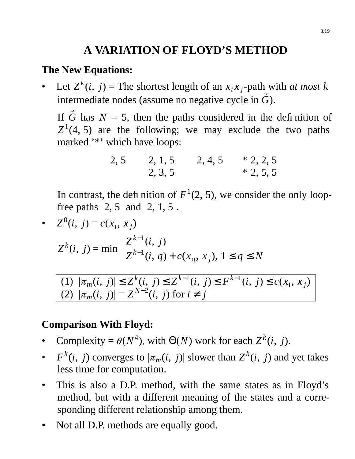# **A VARIATION OF FLOYD'S METHOD**

#### **The New Equations:**

• Let  $Z^k(i, j)$  = The shortest length of an  $x_i x_j$ -path with *at most k* intermediate nodes (assume no negative cycle in  $\vec{G}$ ).

If  $\vec{G}$  has  $N = 5$ , then the paths considered in the definition of  $Z^1(4, 5)$  are the following; we may exclude the two paths marked '\*' which have loops:

$$
\begin{array}{ccc}\n\langle 2, 5 \rangle & \langle 2, 1, 5 \rangle & \langle 2, 4, 5 \rangle & * \langle 2, 2, 5 \rangle \\
\langle 2, 3, 5 \rangle & * \langle 2, 5, 5 \rangle\n\end{array}
$$

In contrast, the definition of  $F^1(2, 5)$ , we consider the only loopfree paths  $\langle 2, 5 \rangle$  and  $\langle 2, 1, 5 \rangle$ .

• 
$$
Z^0(i, j) = c(x_i, x_j)
$$
  
\n $Z^k(i, j) = \min \begin{cases} Z^{k-1}(i, j) \\ Z^{k-1}(i, q) + c(x_q, x_j), 1 \le q \le N \end{cases}$   
\n(1)  $|\pi(i, j)| \le Z^k(i, j) \le Z^{k-1}(i, j) \le F^{k-1}(i, j) \le c(x_j)$ 

 $|\pi_m(i, j)| \leq Z^k(i, j) \leq Z^{k-1}(i, j) \leq F^{k-1}(i, j) \leq c(x_i, x_j)$ (2)  $|\pi_m(i, j)| = Z^{N-2}(i, j)$  for  $i \neq j$ 

### **Comparison With Floyd:**

- Complexity =  $\theta(N^4)$ , with  $\Theta(N)$  work for each  $Z^k(i, j)$ .
- $F^k(i, j)$  converges to  $|\pi_m(i, j)|$  slower than  $Z^k(i, j)$  and yet takes less time for computation.
- This is also a D.P. method, with the same states as in Floyd's method, but with a different meaning of the states and a corresponding different relationship among them.
- Not all D.P. methods are equally good.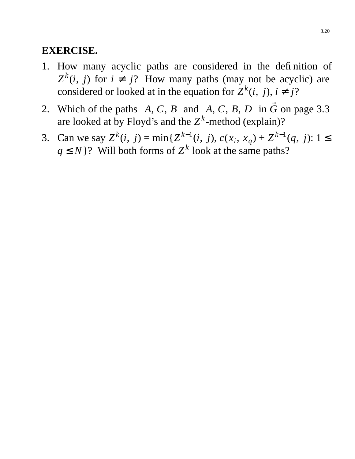#### **EXERCISE.**

- 1. How many acyclic paths are considered in the definition of  $Z^k(i, j)$  for  $i \neq j$ ? How many paths (may not be acyclic) are considered or looked at in the equation for  $Z^k(i, j)$ ,  $i \neq j$ ?
- 2. Which of the paths  $\langle A, C, B \rangle$  and  $\langle A, C, B, D \rangle$  in  $\vec{G}$  on page 3.3 are looked at by Floyd's and the  $Z^k$ -method (explain)?
- 3. Can we say  $Z^k(i, j) = \min\{Z^{k-1}(i, j), c(x_i, x_q) + Z^{k-1}(q, j): 1 \leq j \leq k-1\}$  $q \leq N$  ? Will both forms of  $Z^k$  look at the same paths?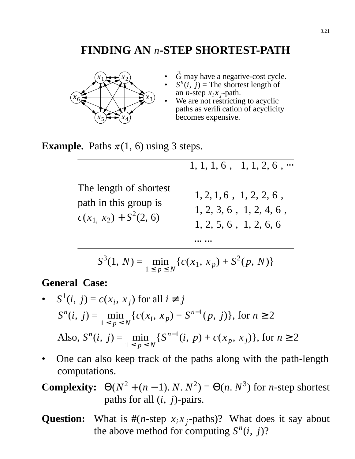## **FINDING AN** *n***-STEP SHORTEST-PATH**



- $\vec{G}$  may have a negative-cost cycle.
- $S^n(i, j)$  = The shortest length of an *n*-step  $x_i x_j$ -path.
- We are not restricting to acyclic paths as verification of acyclicity becomes expensive. •

 $\langle 1, 1, 1, 6 \rangle, \langle 1, 1, 2, 6 \rangle, \cdots$ 

**Example.** Paths  $\pi(1, 6)$  using 3 steps.

The length of shortest path in this group is  $c(x_1, x_2) + S^2(2, 6)$  $\overline{\phantom{a}}$  $\mathbf{I}$ く  $\mathbf{I}$  $\lfloor$  $\langle 1, 2, 1, 6 \rangle, \langle 1, 2, 2, 6 \rangle,$  $\langle 1, 2, 3, 6 \rangle, \langle 1, 2, 4, 6 \rangle,$  $\langle 1, 2, 5, 6 \rangle, \langle 1, 2, 6, 6 \rangle$ ⋅⋅⋅ ⋅⋅⋅

 $S^3(1, N) =$  $1 \leq p \leq N$  $\min_{y} \{c(x_1, x_p) + S^2(p, N)\}$ 

#### **General Case:**

- $S^1(i, j) = c(x_i, x_j)$  for all  $i \neq j$  $S^n(i, j) =$  $1 \leq p \leq N$  $\min_{x \in \mathbb{R}^N} \{c(x_i, x_p) + S^{n-1}(p, j)\},$  for  $n \ge 2$ Also,  $S^n(i, j)$  =  $1 \leq p \leq N$  $\min_{y} \{ S^{n-1}(i, p) + c(x_p, x_j) \}$ , for  $n \ge 2$
- One can also keep track of the paths along with the path-length computations.

**Complexity:**  $\Theta(N^2 + (n-1) \cdot N \cdot N^2) = \Theta(n \cdot N^3)$  for *n*-step shortest paths for all (*i*, *j*)-pairs.

**Question:** What is  $#(n\text{-step } x_i x_j\text{-paths})$ ? What does it say about the above method for computing  $S^n(i, j)$ ?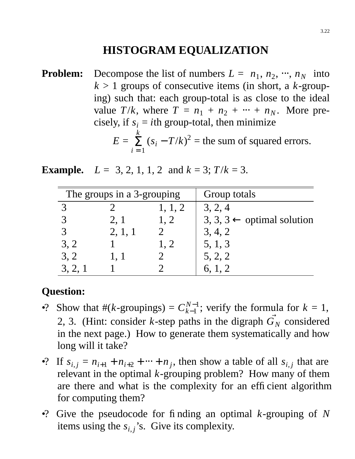## **HISTOGRAM EQUALIZATION**

**Problem:** Decompose the list of numbers  $L = \langle n_1, n_2, \dots, n_N \rangle$  into  $k > 1$  groups of consecutive items (in short, a  $k$ -grouping) such that: each group-total is as close to the ideal value  $T/k$ , where  $T = n_1 + n_2 + \cdots + n_N$ . More precisely, if  $s_i = i$ th group-total, then minimize  $E =$ *k*  $i = 1$  $\sum_{i=1}^{8} (s_i - T/k)^2$  = the sum of squared errors.

**Example.**  $L = \langle 3, 2, 1, 1, 2 \rangle$  and  $k = 3$ ;  $T/k = 3$ .

| The groups in a 3-grouping |                           |                           | Group totals                          |  |  |
|----------------------------|---------------------------|---------------------------|---------------------------------------|--|--|
| $\langle 3 \rangle$        | $\langle 2 \rangle$       | $\langle 1, 1, 2 \rangle$ | 3, 2, 4                               |  |  |
| $\langle 3 \rangle$        | $\langle 2, 1 \rangle$    | $\langle 1, 2 \rangle$    | $3, 3, 3 \leftarrow$ optimal solution |  |  |
| $\langle 3 \rangle$        | $\langle 2, 1, 1 \rangle$ | $\langle 2\rangle$        | 3, 4, 2                               |  |  |
| $\langle 3, 2 \rangle$     | $\langle 1 \rangle$       | $\langle 1, 2 \rangle$    | 5, 1, 3                               |  |  |
| $\langle 3, 2 \rangle$     | $\langle 1, 1 \rangle$    | $\langle 2\rangle$        | 5, 2, 2                               |  |  |
| $\langle 3, 2, 1 \rangle$  |                           | <u>''2,</u>               | 6, 1, 2                               |  |  |

### **Question:**

- •? Show that  $#(k$ -groupings) =  $C_{k-1}^{N-1}$  $k-1$ ; verify the formula for  $k = 1$ , 2, 3. (Hint: consider *k*-step paths in the digraph  $\overrightarrow{G}_N$  considered in the next page.) How to generate them systematically and how long will it take?
- •? If  $s_{i,j} = n_{i+1} + n_{i+2} + \cdots + n_j$ , then show a table of all  $s_{i,j}$  that are relevant in the optimal *k*-grouping problem? How many of them are there and what is the complexity for an efficient algorithm for computing them?
- •? Give the pseudocode for finding an optimal *k*-grouping of *N* items using the  $s_{i,j}$ 's. Give its complexity.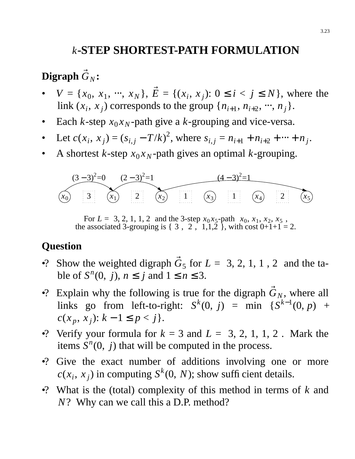### *k***-STEP SHORTEST-PATH FORMULATION**

# $\overrightarrow{\mathbf{D}}$ **igraph**  $\overrightarrow{G}_N$ :

- $V = \{x_0, x_1, \dots, x_N\}, \vec{E} = \{(x_i, x_j): 0 \le i < j \le N\},\$  where the link  $(x_i, x_j)$  corresponds to the group  $\{n_{i+1}, n_{i+2}, ..., n_j\}$ .
- Each *k*-step  $x_0 x_N$ -path give a *k*-grouping and vice-versa.
- Let  $c(x_i, x_j) = (s_{i,j} T/k)^2$ , where  $s_{i,j} = n_{i+1} + n_{i+2} + \cdots + n_j$ .
- A shortest *k*-step  $x_0 x_N$ -path gives an optimal *k*-grouping.



For  $L = \langle 3, 2, 1, 1, 2 \rangle$  and the 3-step  $x_0 x_5$ -path  $\langle x_0, x_1, x_2, x_5 \rangle$ , the associated 3-grouping is  $\{\langle 3\rangle, \langle 2\rangle, \langle 1,1,2\rangle\}$ , with cost  $0+1+1=2$ .

#### **Question**

- •? Show the weighted digraph  $\vec{G}_5$  for  $L = \langle 3, 2, 1, 1, 2 \rangle$  and the table of  $S<sup>n</sup>(0, j)$ ,  $n \le j$  and  $1 \le n \le 3$ .
- •? Explain why the following is true for the digraph  $\vec{G}_N$ , where all links go from left-to-right:  $S^k(0, j) = \min \{S^{k-1}(0, p) +$ *c*(*x*<sub>*p*</sub>, *x*<sub>*j*</sub>): *k* − 1 ≤ *p* < *j*}.
- •? Verify your formula for  $k = 3$  and  $L = \langle 3, 2, 1, 1, 2 \rangle$ . Mark the items  $S<sup>n</sup>(0, j)$  that will be computed in the process.
- •? Give the exact number of additions involving one or more  $c(x_i, x_j)$  in computing  $S^k(0, N)$ ; show sufficient details.
- •? What is the (total) complexity of this method in terms of *k* and *N*? Why can we call this a D.P. method?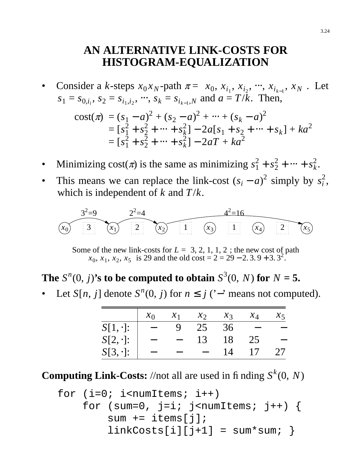## **AN ALTERNATIVE LINK-COSTS FOR HISTOGRAM-EQUALIZATION**

• Consider a *k*-steps  $x_0 x_N$ -path  $\pi = \langle x_0, x_{i_1}, x_{i_2}, \dots, x_{i_{k-1}}, x_N \rangle$ . Let  $s_1 = s_{0,i_i}, s_2 = s_{i_1,i_2}, \dots, s_k = s_{i_{k-1},N}$  and  $a = T/k$ . Then,

cost(
$$
\pi
$$
) =  $(s_1 - a)^2 + (s_2 - a)^2 + \dots + (s_k - a)^2$   
\n=  $[s_1^2 + s_2^2 + \dots + s_k^2] - 2a[s_1 + s_2 + \dots + s_k] + ka^2$   
\n=  $[s_1^2 + s_2^2 + \dots + s_k^2] - 2aT + ka^2$ 

- Minimizing cost( $\pi$ ) is the same as minimizing  $s_1^2 + s_2^2 + \dots + s_k^2$ *k* .
- This means we can replace the link-cost  $(s_i a)^2$  simply by  $s_i^2$ *i* , which is independent of *k* and *T*/*k*.

$$
\begin{array}{c}\n 3^2 = 9 \\
 \hline\n (x_0)(3) \\
 3\n \end{array}\n \quad\n \begin{array}{c}\n 2^2 = 4 \\
 \hline\n (x_1)(2) \\
 2\n \end{array}\n \quad\n \begin{array}{c}\n 4^2 = 16 \\
 \hline\n (x_3)(1) \\
 1\n \end{array}\n \quad\n \begin{array}{c}\n 4^2 = 16 \\
 \hline\n (x_4)(2) \\
 2\n \end{array}\n \quad\n \begin{array}{c}\n 2^2 = 4 \\
 \hline\n (x_5)(2)\n \end{array}
$$

Some of the new link-costs for  $L = \langle 3, 2, 1, 1, 2 \rangle$ ; the new cost of path  $\langle x_0, x_1, x_2, x_5 \rangle$  is 29 and the old cost = 2 = 29 – 2. 3. 9 + 3. 3<sup>2</sup>.

## **The**  $S^n(0, j)$ 's to be computed to obtain  $S^3(0, N)$  for  $N = 5$ .

• Let *S*[*n*, *j*] denote *S<sup>n</sup>*(0, *j*) for  $n \le j$  ('−' means not computed).

|                 | $x_0$  | $\mathcal{X}_1$ | $\mathcal{X}_{2}$ | $\chi$ 3 | $x_4$ | $\lambda$ 5 |
|-----------------|--------|-----------------|-------------------|----------|-------|-------------|
| $S[1,\cdot]$ :  | $\sim$ | 9               | 25                | 36       |       |             |
| $S[2, \cdot]$ : |        |                 | 13                | 18       | 25    |             |
| $S[3, \cdot]$ : |        |                 |                   | 14       | 17    | 27          |

**Computing Link-Costs:** //not all are used in finding  $S^k(0, N)$ 

for (i=0; i<numItems; i++) for (sum=0, j=i; j<numItems; j++) { sum += items[j]; linkCosts[i][j+1] = sum\*sum; }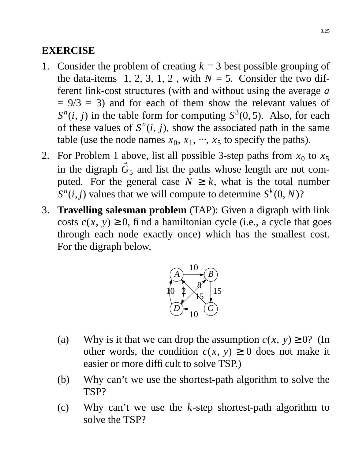### **EXERCISE**

- 1. Consider the problem of creating  $k = 3$  best possible grouping of the data-items  $\langle 1, 2, 3, 1, 2 \rangle$ , with  $N = 5$ . Consider the two different link-cost structures (with and without using the average *a*  $= 9/3 = 3$  and for each of them show the relevant values of  $S^n(i, j)$  in the table form for computing  $S^3(0, 5)$ . Also, for each of these values of  $S<sup>n</sup>(i, j)$ , show the associated path in the same table (use the node names  $x_0, x_1, \dots, x_5$  to specify the paths).
- 2. For Problem 1 above, list all possible 3-step paths from  $x_0$  to  $x_5$ in the digraph  $\vec{G}_5$  and list the paths whose length are not computed. For the general case  $N \geq k$ , what is the total number  $S^n(i,j)$  values that we will compute to determine  $S^k(0,N)$ ?
- 3. **Travelling salesman problem** (TAP): Given a digraph with link costs  $c(x, y) \ge 0$ , find a hamiltonian cycle (i.e., a cycle that goes through each node exactly once) which has the smallest cost. For the digraph below,



- (a) Why is it that we can drop the assumption  $c(x, y) \ge 0$ ? (In other words, the condition  $c(x, y) \ge 0$  does not make it easier or more difficult to solve TSP.)
- (b) Why can't we use the shortest-path algorithm to solve the TSP?
- (c) Why can't we use the *k*-step shortest-path algorithm to solve the TSP?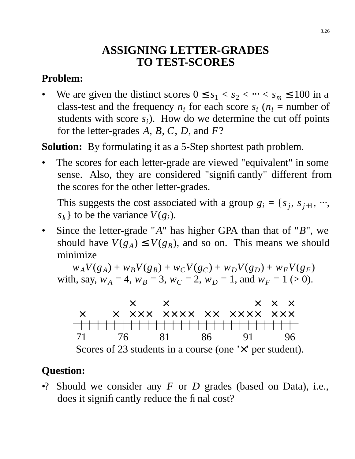# **ASSIGNING LETTER-GRADES TO TEST-SCORES**

## **Problem:**

We are given the distinct scores  $0 \le s_1 < s_2 < \cdots < s_m \le 100$  in a class-test and the frequency  $n_i$  for each score  $s_i$  ( $n_i$  = number of students with score  $s_i$ ). How do we determine the cut off points for the letter-grades *A*, *B*, *C*, *D*, and *F*?

**Solution:** By formulating it as a 5-Step shortest path problem.

The scores for each letter-grade are viewed "equivalent" in some sense. Also, they are considered "significantly" different from the scores for the other letter-grades.

This suggests the cost associated with a group  $g_i = \{s_j, s_{j+1}, \dots, s_j\}$  $s_k$  to be the variance  $V(g_i)$ .

• Since the letter-grade "*A*" has higher GPA than that of "*B*", we should have  $V(g_A) \leq V(g_B)$ , and so on. This means we should minimize

 $w_A V(g_A) + w_B V(g_B) + w_C V(g_C) + w_D V(g_D) + w_F V(g_F)$ with, say,  $w_A = 4$ ,  $w_B = 3$ ,  $w_C = 2$ ,  $w_D = 1$ , and  $w_F = 1$  (> 0).



## **Question:**

•? Should we consider any *F* or *D* grades (based on Data), i.e., does it significantly reduce the final cost?